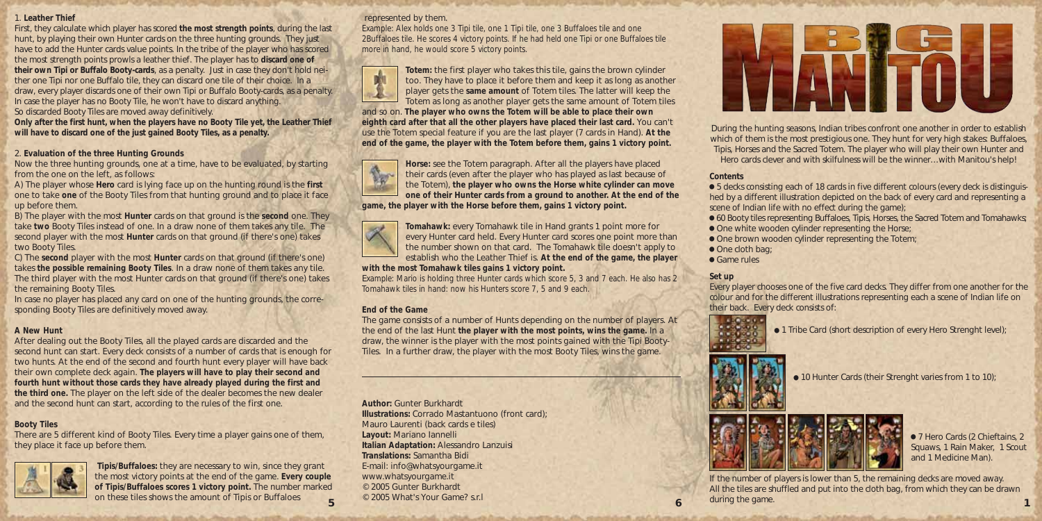#### 1. **Leather Thief**

First, they calculate which player has scored **the most strength points**, during the last hunt, by playing their own Hunter cards on the three hunting grounds. They just have to add the Hunter cards value points. In the tribe of the player who has scored the most strength points prowls a leather thief. The player has to **discard one of their own Tipi or Buffalo Booty-cards**, as a penalty. Just in case they don't hold neither one Tipi nor one Buffalo tile, they can discard one tile of their choice. In a draw, every player discards one of their own Tipi or Buffalo Booty-cards, as a penalty. In case the player has no Booty Tile, he won't have to discard anything. So discarded Booty Tiles are moved away definitively.

**Only after the first hunt, when the players have no Booty Tile yet, the Leather Thief will have to discard one of the just gained Booty Tiles, as a penalty.**

### 2. **Evaluation of the three Hunting Grounds**

Now the three hunting grounds, one at a time, have to be evaluated, by starting from the one on the left, as follows:

A) The player whose **Hero** card is lying face up on the hunting round is the **first** one to take **one** of the Booty Tiles from that hunting ground and to place it face up before them.

B) The player with the most **Hunter** cards on that ground is the **second** one. They take **two** Booty Tiles instead of one. In a draw none of them takes any tile. The second player with the most **Hunter** cards on that ground (if there's one) takes two Booty Tiles.

C) The **second** player with the most **Hunter** cards on that ground (if there's one) takes **the possible remaining Booty Tiles**. In a draw none of them takes any tile. The third player with the most Hunter cards on that ground (if there's one) takes the remaining Booty Tiles.

In case no player has placed any card on one of the hunting grounds, the corresponding Booty Tiles are definitively moved away.

### **A New Hunt**

After dealing out the Booty Tiles, all the played cards are discarded and the second hunt can start. Every deck consists of a number of cards that is enough for two hunts. At the end of the second and fourth hunt every player will have back their own complete deck again. **The players will have to play their second and fourth hunt without those cards they have already played during the first and the third one.** The player on the left side of the dealer becomes the new dealer and the second hunt can start, according to the rules of the first one.

## **Booty Tiles**

There are 5 different kind of Booty Tiles. Every time a player gains one of them, they place it face up before them.



**Tipis/Buffaloes:** they are necessary to win, since they grant the most victory points at the end of the game. **Every couple of Tipis/Buffaloes scores 1 victory point.** The number marked on these tiles shows the amount of Tipis or Buffaloes

### represented by them.

*Example: Alex holds one 3 Tipi tile, one 1 Tipi tile, one 3 Buffaloes tile and one 2Buffaloes tile. He scores 4 victory points. If he had held one Tipi or one Buffaloes tile more in hand, he would score 5 victory points.*



**Totem:** the first player who takes this tile, gains the brown cylinder too. They have to place it before them and keep it as long as another player gets the **same amount** of Totem tiles. The latter will keep the Totem as long as another player gets the same amount of Totem tiles

and so on. **The player who owns the Totem will be able to place their own eighth card after that all the other players have placed their last card.** You can't use the Totem special feature if you are the last player (7 cards in Hand). **At the end of the game, the player with the Totem before them, gains 1 victory point.**



**Horse:** see the Totem paragraph. After all the players have placed their cards (even after the player who has played as last because of the Totem), **the player who owns the Horse white cylinder can move one of their Hunter cards from a ground to another. At the end of the game, the player with the Horse before them, gains 1 victory point.**



**Tomahawk:** every Tomahawk tile in Hand grants 1 point more for every Hunter card held. Every Hunter card scores one point more than the number shown on that card. The Tomahawk tile doesn't apply to establish who the Leather Thief is. **At the end of the game, the player**

**with the most Tomahawk tiles gains 1 victory point.**

E*xample: Mario is holding three Hunter cards which score 5, 3 and 7 each. He also has 2 Tomahawk tiles in hand: now his Hunters score 7, 5 and 9 each.*

## **End of the Game**

The game consists of a number of Hunts depending on the number of players. At the end of the last Hunt **the player with the most points, wins the game.** In a draw, the winner is the player with the most points gained with the Tipi Booty-Tiles. In a further draw, the player with the most Booty Tiles, wins the game.

**Author:** Gunter Burkhardt **Illustrations:** Corrado Mastantuono (front card); Mauro Laurenti (back cards e tiles) **Layout:** Mariano Iannelli **Italian Adaptation:** Alessandro Lanzuisi **Translations:** Samantha Bidi E-mail: info@whatsyourgame.it www.whatsyourgame.it © 2005 Gunter Burkhardt © 2005 What's Your Game? s.r.l



During the hunting seasons, Indian tribes confront one another in order to establish which of them is the most prestigious one. They hunt for very high stakes: Buffaloes, Tipis, Horses and the Sacred Totem. The player who will play their own Hunter and Hero cards clever and with skilfulness will be the winner…with Manitou's help!

## **Contents**

 $\bullet$  5 decks consisting each of 18 cards in five different colours (every deck is distinguished by a different illustration depicted on the back of every card and representing a scene of Indian life with no effect during the game);

 $\bullet$  60 Booty tiles representing Buffaloes, Tipis, Horses, the Sacred Totem and Tomahawks;  $\bullet$  One white wooden cylinder representing the Horse;

- $\bullet$  One brown wooden cylinder representing the Totem;
- One cloth bag;
- Game rules

# **Set up**

Every player chooses one of the five card decks. They differ from one another for the colour and for the different illustrations representing each a scene of Indian life on their back. Every deck consists of:



 $\bullet$  1 Tribe Card (short description of every Hero Strenght level);



 $\bullet$  10 Hunter Cards (their Strenght varies from 1 to 10);



● 7 Hero Cards (2 Chieftains, 2 Squaws, 1 Rain Maker, 1 Scout and 1 Medicine Man).

If the number of players is lower than 5, the remaining decks are moved away. All the tiles are shuffled and put into the cloth bag, from which they can be drawn during the game. **5 6 1**